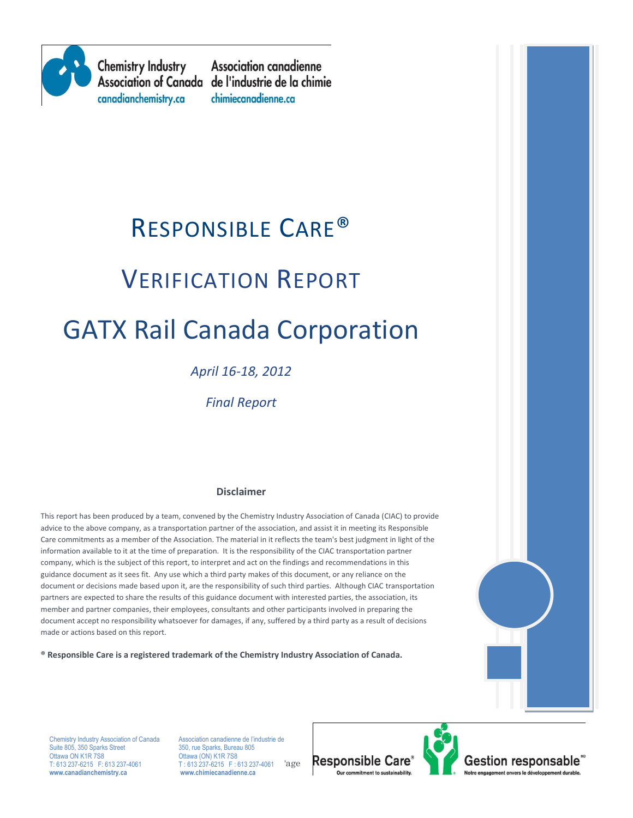

**Chemistry Industry** canadianchemistry.ca

**Association canadienne** Association of Canada de l'industrie de la chimie chimiecanadienne.ca

# RESPONSIBLE CARE®

# VERIFICATION REPORT

# GATX Rail Canada Corporation

# *April 16-18, 2012*

*Final Report*

#### **Disclaimer**

This report has been produced by a team, convened by the Chemistry Industry Association of Canada (CIAC) to provide advice to the above company, as a transportation partner of the association, and assist it in meeting its Responsible Care commitments as a member of the Association. The material in it reflects the team's best judgment in light of the information available to it at the time of preparation. It is the responsibility of the CIAC transportation partner company, which is the subject of this report, to interpret and act on the findings and recommendations in this guidance document as it sees fit. Any use which a third party makes of this document, or any reliance on the document or decisions made based upon it, are the responsibility of such third parties. Although CIAC transportation partners are expected to share the results of this guidance document with interested parties, the association, its member and partner companies, their employees, consultants and other participants involved in preparing the document accept no responsibility whatsoever for damages, if any, suffered by a third party as a result of decisions made or actions based on this report.

**® Responsible Care is a registered trademark of the Chemistry Industry Association of Canada.** 



Ottawa ON K1R 7S8 Chemistry Industry Association of Canada Association canadienne de l'industrie de<br>
Suite 805, 350 Sparks Street 350, rue Sparks, Bureau 805 Suite 805, 350 Sparks Street Ottawa ON K1R 7S8 Ottawa (ON) K1R 7S8<br>
T: 613 237-6215 F: 613 237-4061 T: 613 237-6215 F: 6 **www.canadianchemistry.ca www.chimiecanadienne.ca**

'age  $T: 613$  237-6215 F: 613 237-4061

**Responsible Care** Our commitment to sustainability

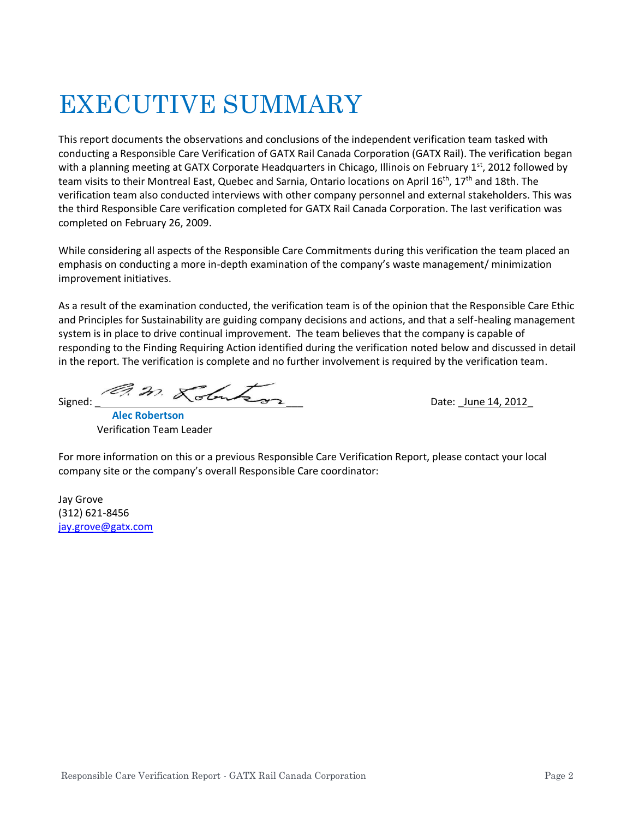# EXECUTIVE SUMMARY

This report documents the observations and conclusions of the independent verification team tasked with conducting a Responsible Care Verification of GATX Rail Canada Corporation (GATX Rail). The verification began with a planning meeting at GATX Corporate Headquarters in Chicago, Illinois on February 1st, 2012 followed by team visits to their Montreal East, Quebec and Sarnia, Ontario locations on April 16<sup>th</sup>, 17<sup>th</sup> and 18th. The verification team also conducted interviews with other company personnel and external stakeholders. This was the third Responsible Care verification completed for GATX Rail Canada Corporation. The last verification was completed on February 26, 2009.

While considering all aspects of the Responsible Care Commitments during this verification the team placed an emphasis on conducting a more in-depth examination of the company's waste management/ minimization improvement initiatives.

As a result of the examination conducted, the verification team is of the opinion that the Responsible Care Ethic and Principles for Sustainability are guiding company decisions and actions, and that a self-healing management system is in place to drive continual improvement. The team believes that the company is capable of responding to the Finding Requiring Action identified during the verification noted below and discussed in detail in the report. The verification is complete and no further involvement is required by the verification team.

 $Signed:$  Date:  $June 14, 2012$ 

 **Alec Robertson** Verification Team Leader

For more information on this or a previous Responsible Care Verification Report, please contact your local company site or the company's overall Responsible Care coordinator:

Jay Grove (312) 621-8456 [jay.grove@gatx.com](mailto:jay.grove@gatx.com)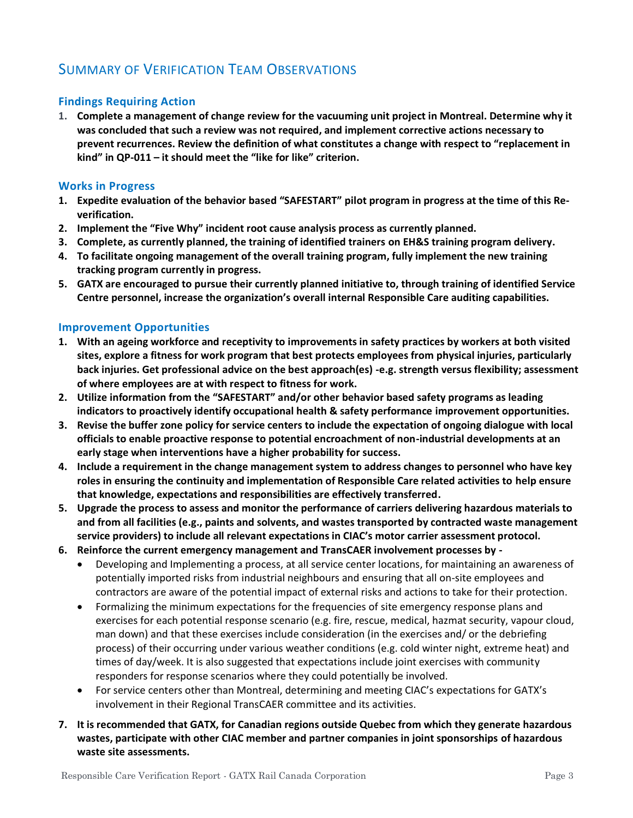# SUMMARY OF VERIFICATION TEAM OBSERVATIONS

#### **Findings Requiring Action**

**1. Complete a management of change review for the vacuuming unit project in Montreal. Determine why it was concluded that such a review was not required, and implement corrective actions necessary to prevent recurrences. Review the definition of what constitutes a change with respect to "replacement in kind" in QP-011 – it should meet the "like for like" criterion.**

#### **Works in Progress**

- **1. Expedite evaluation of the behavior based "SAFESTART" pilot program in progress at the time of this Reverification.**
- **2. Implement the "Five Why" incident root cause analysis process as currently planned.**
- **3. Complete, as currently planned, the training of identified trainers on EH&S training program delivery.**
- **4. To facilitate ongoing management of the overall training program, fully implement the new training tracking program currently in progress.**
- **5. GATX are encouraged to pursue their currently planned initiative to, through training of identified Service Centre personnel, increase the organization's overall internal Responsible Care auditing capabilities.**

#### **Improvement Opportunities**

- **1. With an ageing workforce and receptivity to improvements in safety practices by workers at both visited sites, explore a fitness for work program that best protects employees from physical injuries, particularly back injuries. Get professional advice on the best approach(es) -e.g. strength versus flexibility; assessment of where employees are at with respect to fitness for work.**
- **2. Utilize information from the "SAFESTART" and/or other behavior based safety programs as leading indicators to proactively identify occupational health & safety performance improvement opportunities.**
- **3. Revise the buffer zone policy for service centers to include the expectation of ongoing dialogue with local officials to enable proactive response to potential encroachment of non-industrial developments at an early stage when interventions have a higher probability for success.**
- **4. Include a requirement in the change management system to address changes to personnel who have key roles in ensuring the continuity and implementation of Responsible Care related activities to help ensure that knowledge, expectations and responsibilities are effectively transferred.**
- **5. Upgrade the process to assess and monitor the performance of carriers delivering hazardous materials to and from all facilities (e.g., paints and solvents, and wastes transported by contracted waste management service providers) to include all relevant expectations in CIAC's motor carrier assessment protocol.**
- **6. Reinforce the current emergency management and TransCAER involvement processes by -**
	- Developing and Implementing a process, at all service center locations, for maintaining an awareness of potentially imported risks from industrial neighbours and ensuring that all on-site employees and contractors are aware of the potential impact of external risks and actions to take for their protection.
	- Formalizing the minimum expectations for the frequencies of site emergency response plans and exercises for each potential response scenario (e.g. fire, rescue, medical, hazmat security, vapour cloud, man down) and that these exercises include consideration (in the exercises and/ or the debriefing process) of their occurring under various weather conditions (e.g. cold winter night, extreme heat) and times of day/week. It is also suggested that expectations include joint exercises with community responders for response scenarios where they could potentially be involved.
	- For service centers other than Montreal, determining and meeting CIAC's expectations for GATX's involvement in their Regional TransCAER committee and its activities.
- **7. It is recommended that GATX, for Canadian regions outside Quebec from which they generate hazardous wastes, participate with other CIAC member and partner companies in joint sponsorships of hazardous waste site assessments.**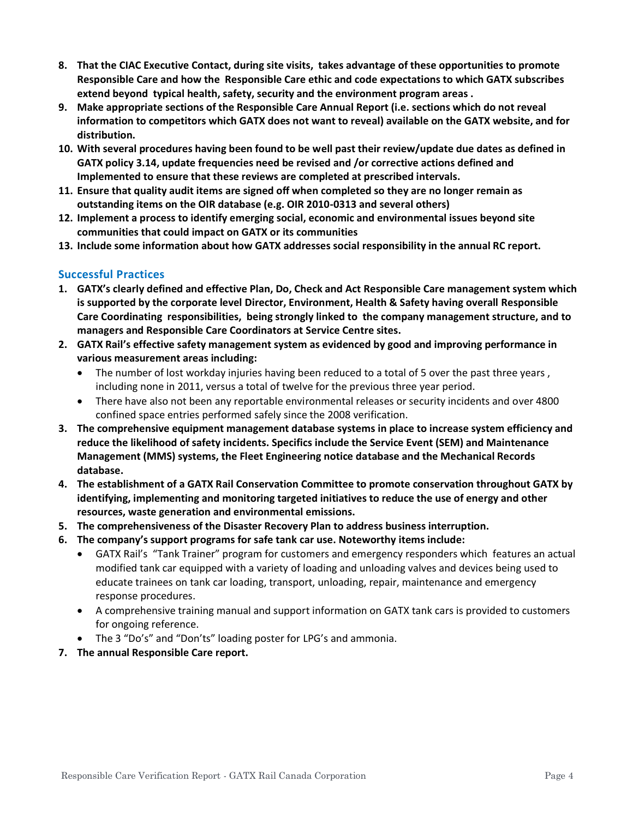- **8. That the CIAC Executive Contact, during site visits, takes advantage of these opportunities to promote Responsible Care and how the Responsible Care ethic and code expectations to which GATX subscribes extend beyond typical health, safety, security and the environment program areas .**
- **9. Make appropriate sections of the Responsible Care Annual Report (i.e. sections which do not reveal information to competitors which GATX does not want to reveal) available on the GATX website, and for distribution.**
- **10. With several procedures having been found to be well past their review/update due dates as defined in GATX policy 3.14, update frequencies need be revised and /or corrective actions defined and Implemented to ensure that these reviews are completed at prescribed intervals.**
- **11. Ensure that quality audit items are signed off when completed so they are no longer remain as outstanding items on the OIR database (e.g. OIR 2010-0313 and several others)**
- **12. Implement a process to identify emerging social, economic and environmental issues beyond site communities that could impact on GATX or its communities**
- **13. Include some information about how GATX addresses social responsibility in the annual RC report.**

#### **Successful Practices**

- **1. GATX's clearly defined and effective Plan, Do, Check and Act Responsible Care management system which is supported by the corporate level Director, Environment, Health & Safety having overall Responsible Care Coordinating responsibilities, being strongly linked to the company management structure, and to managers and Responsible Care Coordinators at Service Centre sites.**
- **2. GATX Rail's effective safety management system as evidenced by good and improving performance in various measurement areas including:**
	- The number of lost workday injuries having been reduced to a total of 5 over the past three years, including none in 2011, versus a total of twelve for the previous three year period.
	- There have also not been any reportable environmental releases or security incidents and over 4800 confined space entries performed safely since the 2008 verification.
- **3. The comprehensive equipment management database systems in place to increase system efficiency and reduce the likelihood of safety incidents. Specifics include the Service Event (SEM) and Maintenance Management (MMS) systems, the Fleet Engineering notice database and the Mechanical Records database.**
- **4. The establishment of a GATX Rail Conservation Committee to promote conservation throughout GATX by identifying, implementing and monitoring targeted initiatives to reduce the use of energy and other resources, waste generation and environmental emissions.**
- **5. The comprehensiveness of the Disaster Recovery Plan to address business interruption.**
- **6. The company's support programs for safe tank car use. Noteworthy items include:**
	- GATX Rail's "Tank Trainer" program for customers and emergency responders which features an actual modified tank car equipped with a variety of loading and unloading valves and devices being used to educate trainees on tank car loading, transport, unloading, repair, maintenance and emergency response procedures.
	- A comprehensive training manual and support information on GATX tank cars is provided to customers for ongoing reference.
	- The 3 "Do's" and "Don'ts" loading poster for LPG's and ammonia.
- **7. The annual Responsible Care report.**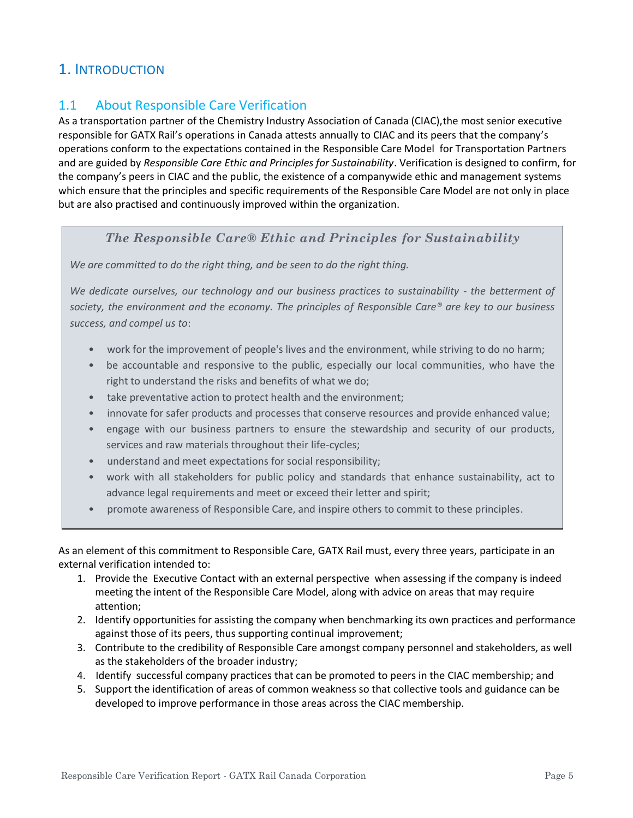# 1. INTRODUCTION

## 1.1 About Responsible Care Verification

As a transportation partner of the Chemistry Industry Association of Canada (CIAC),the most senior executive responsible for GATX Rail's operations in Canada attests annually to CIAC and its peers that the company's operations conform to the expectations contained in the Responsible Care Model for Transportation Partners and are guided by *Responsible Care Ethic and Principles for Sustainability*. Verification is designed to confirm, for the company's peers in CIAC and the public, the existence of a companywide ethic and management systems which ensure that the principles and specific requirements of the Responsible Care Model are not only in place but are also practised and continuously improved within the organization.

### *The Responsible Care® Ethic and Principles for Sustainability*

*We are committed to do the right thing, and be seen to do the right thing.*

*We dedicate ourselves, our technology and our business practices to sustainability - the betterment of society, the environment and the economy. The principles of Responsible Care® are key to our business success, and compel us to*:

- work for the improvement of people's lives and the environment, while striving to do no harm;
- be accountable and responsive to the public, especially our local communities, who have the right to understand the risks and benefits of what we do;
- take preventative action to protect health and the environment;
- innovate for safer products and processes that conserve resources and provide enhanced value;
- engage with our business partners to ensure the stewardship and security of our products, services and raw materials throughout their life-cycles;
- understand and meet expectations for social responsibility;
- work with all stakeholders for public policy and standards that enhance sustainability, act to advance legal requirements and meet or exceed their letter and spirit;
- promote awareness of Responsible Care, and inspire others to commit to these principles.

As an element of this commitment to Responsible Care, GATX Rail must, every three years, participate in an external verification intended to:

- 1. Provide the Executive Contact with an external perspective when assessing if the company is indeed meeting the intent of the Responsible Care Model, along with advice on areas that may require attention;
- 2. Identify opportunities for assisting the company when benchmarking its own practices and performance against those of its peers, thus supporting continual improvement;
- 3. Contribute to the credibility of Responsible Care amongst company personnel and stakeholders, as well as the stakeholders of the broader industry;
- 4. Identify successful company practices that can be promoted to peers in the CIAC membership; and
- 5. Support the identification of areas of common weakness so that collective tools and guidance can be developed to improve performance in those areas across the CIAC membership.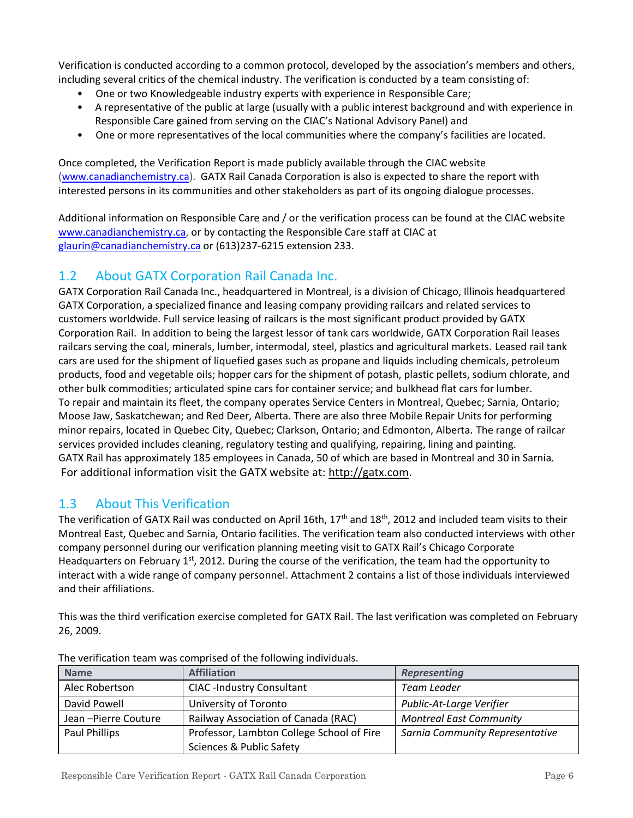Verification is conducted according to a common protocol, developed by the association's members and others, including several critics of the chemical industry. The verification is conducted by a team consisting of:

- One or two Knowledgeable industry experts with experience in Responsible Care;
- A representative of the public at large (usually with a public interest background and with experience in Responsible Care gained from serving on the CIAC's National Advisory Panel) and
- One or more representatives of the local communities where the company's facilities are located.

Once completed, the Verification Report is made publicly available through the CIAC website [\(www.canadianchemistry.ca\)](http://www.canadianchemistry.ca/). GATX Rail Canada Corporation is also is expected to share the report with interested persons in its communities and other stakeholders as part of its ongoing dialogue processes.

Additional information on Responsible Care and / or the verification process can be found at the CIAC website [www.canadianchemistry.ca,](http://www.canadianchemistry.ca/) or by contacting the Responsible Care staff at CIAC at [glaurin@canadianchemistry.ca](mailto:glaurin@canadianchemistry.ca) or (613)237-6215 extension 233.

## 1.2 About GATX Corporation Rail Canada Inc.

GATX Corporation Rail Canada Inc., headquartered in Montreal, is a division of Chicago, Illinois headquartered GATX Corporation, a specialized finance and leasing company providing railcars and related services to customers worldwide*.* Full service leasing of railcars is the most significant product provided by GATX Corporation Rail. In addition to being the largest lessor of tank cars worldwide, GATX Corporation Rail leases railcars serving the coal, minerals, lumber, intermodal, steel, plastics and agricultural markets. Leased rail tank cars are used for the shipment of liquefied gases such as propane and liquids including chemicals, petroleum products, food and vegetable oils; hopper cars for the shipment of potash, plastic pellets, sodium chlorate, and other bulk commodities; articulated spine cars for container service; and bulkhead flat cars for lumber. To repair and maintain its fleet, the company operates Service Centers in Montreal, Quebec; Sarnia, Ontario; Moose Jaw, Saskatchewan; and Red Deer, Alberta. There are also three Mobile Repair Units for performing minor repairs, located in Quebec City, Quebec; Clarkson, Ontario; and Edmonton, Alberta. The range of railcar services provided includes cleaning, regulatory testing and qualifying, repairing, lining and painting. GATX Rail has approximately 185 employees in Canada, 50 of which are based in Montreal and 30 in Sarnia. For additional information visit the GATX website at: [http://gatx.com.](http://gatx.com/)

## 1.3 About This Verification

The verification of GATX Rail was conducted on April 16th, 17<sup>th</sup> and 18<sup>th</sup>, 2012 and included team visits to their Montreal East, Quebec and Sarnia, Ontario facilities. The verification team also conducted interviews with other company personnel during our verification planning meeting visit to GATX Rail's Chicago Corporate Headquarters on February 1st, 2012. During the course of the verification, the team had the opportunity to interact with a wide range of company personnel. Attachment 2 contains a list of those individuals interviewed and their affiliations.

This was the third verification exercise completed for GATX Rail. The last verification was completed on February 26, 2009.

| <b>Name</b>         | <b>Affiliation</b>                        | <b>Representing</b>             |  |
|---------------------|-------------------------------------------|---------------------------------|--|
| Alec Robertson      | <b>CIAC -Industry Consultant</b>          | Team Leader                     |  |
| David Powell        | University of Toronto                     | Public-At-Large Verifier        |  |
| Jean-Pierre Couture | Railway Association of Canada (RAC)       | <b>Montreal East Community</b>  |  |
| Paul Phillips       | Professor, Lambton College School of Fire | Sarnia Community Representative |  |
|                     | <b>Sciences &amp; Public Safety</b>       |                                 |  |

The verification team was comprised of the following individuals.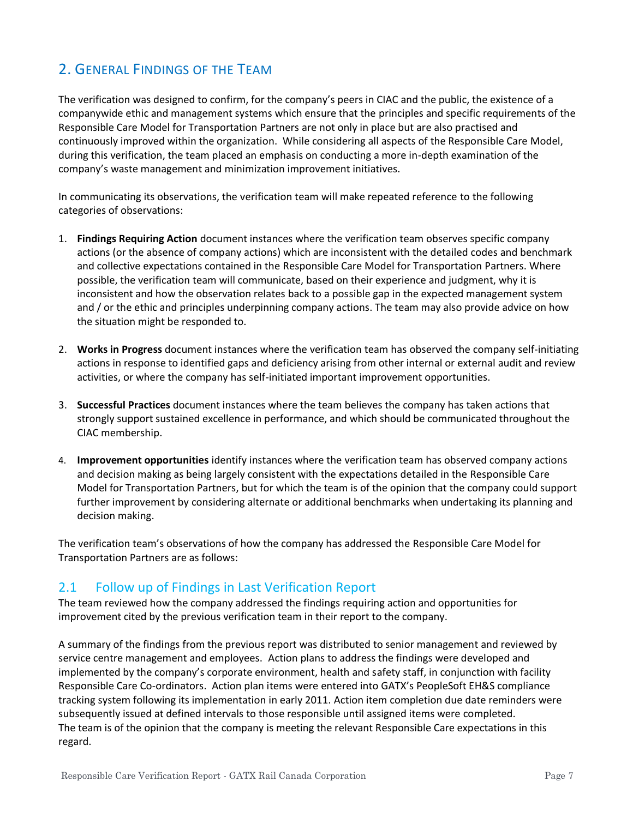# 2. GENERAL FINDINGS OF THE TEAM

The verification was designed to confirm, for the company's peers in CIAC and the public, the existence of a companywide ethic and management systems which ensure that the principles and specific requirements of the Responsible Care Model for Transportation Partners are not only in place but are also practised and continuously improved within the organization. While considering all aspects of the Responsible Care Model, during this verification, the team placed an emphasis on conducting a more in-depth examination of the company's waste management and minimization improvement initiatives.

In communicating its observations, the verification team will make repeated reference to the following categories of observations:

- 1. **Findings Requiring Action** document instances where the verification team observes specific company actions (or the absence of company actions) which are inconsistent with the detailed codes and benchmark and collective expectations contained in the Responsible Care Model for Transportation Partners. Where possible, the verification team will communicate, based on their experience and judgment, why it is inconsistent and how the observation relates back to a possible gap in the expected management system and / or the ethic and principles underpinning company actions. The team may also provide advice on how the situation might be responded to.
- 2. **Works in Progress** document instances where the verification team has observed the company self-initiating actions in response to identified gaps and deficiency arising from other internal or external audit and review activities, or where the company has self-initiated important improvement opportunities.
- 3. **Successful Practices** document instances where the team believes the company has taken actions that strongly support sustained excellence in performance, and which should be communicated throughout the CIAC membership.
- 4. **Improvement opportunities** identify instances where the verification team has observed company actions and decision making as being largely consistent with the expectations detailed in the Responsible Care Model for Transportation Partners, but for which the team is of the opinion that the company could support further improvement by considering alternate or additional benchmarks when undertaking its planning and decision making.

The verification team's observations of how the company has addressed the Responsible Care Model for Transportation Partners are as follows:

## 2.1 Follow up of Findings in Last Verification Report

The team reviewed how the company addressed the findings requiring action and opportunities for improvement cited by the previous verification team in their report to the company.

A summary of the findings from the previous report was distributed to senior management and reviewed by service centre management and employees. Action plans to address the findings were developed and implemented by the company's corporate environment, health and safety staff, in conjunction with facility Responsible Care Co-ordinators. Action plan items were entered into GATX's PeopleSoft EH&S compliance tracking system following its implementation in early 2011. Action item completion due date reminders were subsequently issued at defined intervals to those responsible until assigned items were completed. The team is of the opinion that the company is meeting the relevant Responsible Care expectations in this regard.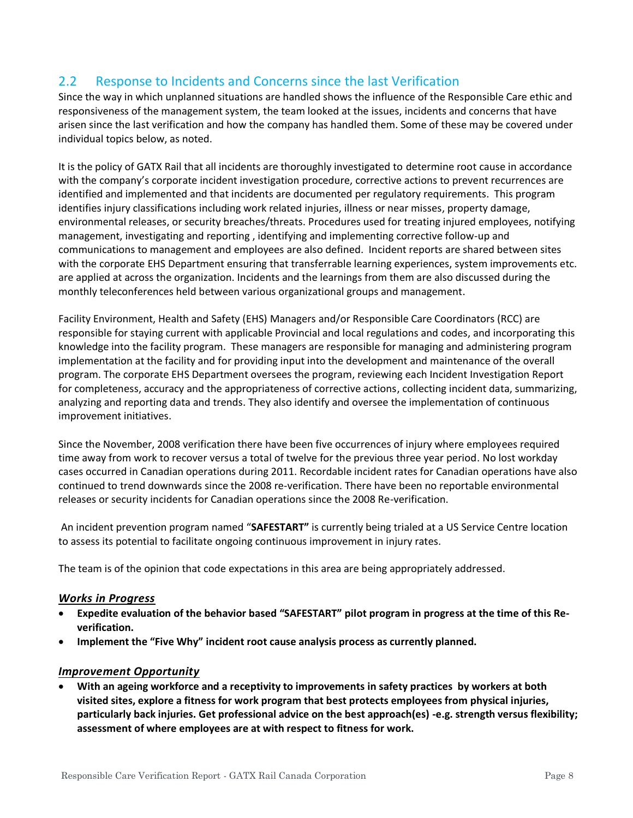# 2.2 Response to Incidents and Concerns since the last Verification

Since the way in which unplanned situations are handled shows the influence of the Responsible Care ethic and responsiveness of the management system, the team looked at the issues, incidents and concerns that have arisen since the last verification and how the company has handled them. Some of these may be covered under individual topics below, as noted.

It is the policy of GATX Rail that all incidents are thoroughly investigated to determine root cause in accordance with the company's corporate incident investigation procedure, corrective actions to prevent recurrences are identified and implemented and that incidents are documented per regulatory requirements. This program identifies injury classifications including work related injuries, illness or near misses, property damage, environmental releases, or security breaches/threats. Procedures used for treating injured employees, notifying management, investigating and reporting , identifying and implementing corrective follow-up and communications to management and employees are also defined. Incident reports are shared between sites with the corporate EHS Department ensuring that transferrable learning experiences, system improvements etc. are applied at across the organization. Incidents and the learnings from them are also discussed during the monthly teleconferences held between various organizational groups and management.

Facility Environment, Health and Safety (EHS) Managers and/or Responsible Care Coordinators (RCC) are responsible for staying current with applicable Provincial and local regulations and codes, and incorporating this knowledge into the facility program. These managers are responsible for managing and administering program implementation at the facility and for providing input into the development and maintenance of the overall program. The corporate EHS Department oversees the program, reviewing each Incident Investigation Report for completeness, accuracy and the appropriateness of corrective actions, collecting incident data, summarizing, analyzing and reporting data and trends. They also identify and oversee the implementation of continuous improvement initiatives.

Since the November, 2008 verification there have been five occurrences of injury where employees required time away from work to recover versus a total of twelve for the previous three year period. No lost workday cases occurred in Canadian operations during 2011. Recordable incident rates for Canadian operations have also continued to trend downwards since the 2008 re-verification. There have been no reportable environmental releases or security incidents for Canadian operations since the 2008 Re-verification.

An incident prevention program named "**SAFESTART"** is currently being trialed at a US Service Centre location to assess its potential to facilitate ongoing continuous improvement in injury rates.

The team is of the opinion that code expectations in this area are being appropriately addressed.

#### *Works in Progress*

- **Expedite evaluation of the behavior based "SAFESTART" pilot program in progress at the time of this Reverification.**
- **Implement the "Five Why" incident root cause analysis process as currently planned.**

#### *Improvement Opportunity*

• **With an ageing workforce and a receptivity to improvements in safety practices by workers at both visited sites, explore a fitness for work program that best protects employees from physical injuries, particularly back injuries. Get professional advice on the best approach(es) -e.g. strength versus flexibility; assessment of where employees are at with respect to fitness for work.**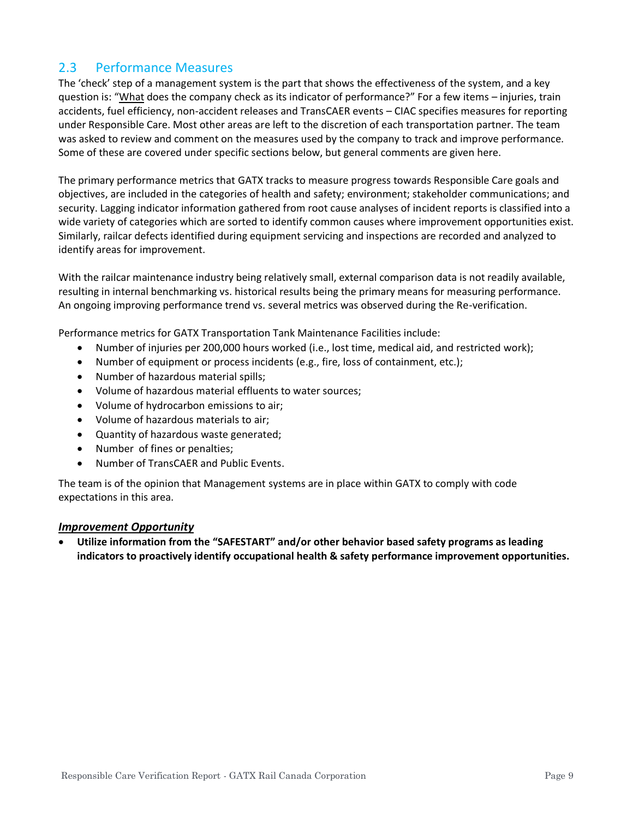## 2.3 Performance Measures

The 'check' step of a management system is the part that shows the effectiveness of the system, and a key question is: "What does the company check as its indicator of performance?" For a few items – injuries, train accidents, fuel efficiency, non-accident releases and TransCAER events – CIAC specifies measures for reporting under Responsible Care. Most other areas are left to the discretion of each transportation partner. The team was asked to review and comment on the measures used by the company to track and improve performance. Some of these are covered under specific sections below, but general comments are given here.

The primary performance metrics that GATX tracks to measure progress towards Responsible Care goals and objectives, are included in the categories of health and safety; environment; stakeholder communications; and security. Lagging indicator information gathered from root cause analyses of incident reports is classified into a wide variety of categories which are sorted to identify common causes where improvement opportunities exist. Similarly, railcar defects identified during equipment servicing and inspections are recorded and analyzed to identify areas for improvement.

With the railcar maintenance industry being relatively small, external comparison data is not readily available, resulting in internal benchmarking vs. historical results being the primary means for measuring performance. An ongoing improving performance trend vs. several metrics was observed during the Re-verification.

Performance metrics for GATX Transportation Tank Maintenance Facilities include:

- Number of injuries per 200,000 hours worked (i.e., lost time, medical aid, and restricted work);
- Number of equipment or process incidents (e.g., fire, loss of containment, etc.);
- Number of hazardous material spills:
- Volume of hazardous material effluents to water sources;
- Volume of hydrocarbon emissions to air;
- Volume of hazardous materials to air;
- Quantity of hazardous waste generated;
- Number of fines or penalties;
- Number of TransCAER and Public Events.

The team is of the opinion that Management systems are in place within GATX to comply with code expectations in this area.

#### *Improvement Opportunity*

• **Utilize information from the "SAFESTART" and/or other behavior based safety programs as leading indicators to proactively identify occupational health & safety performance improvement opportunities.**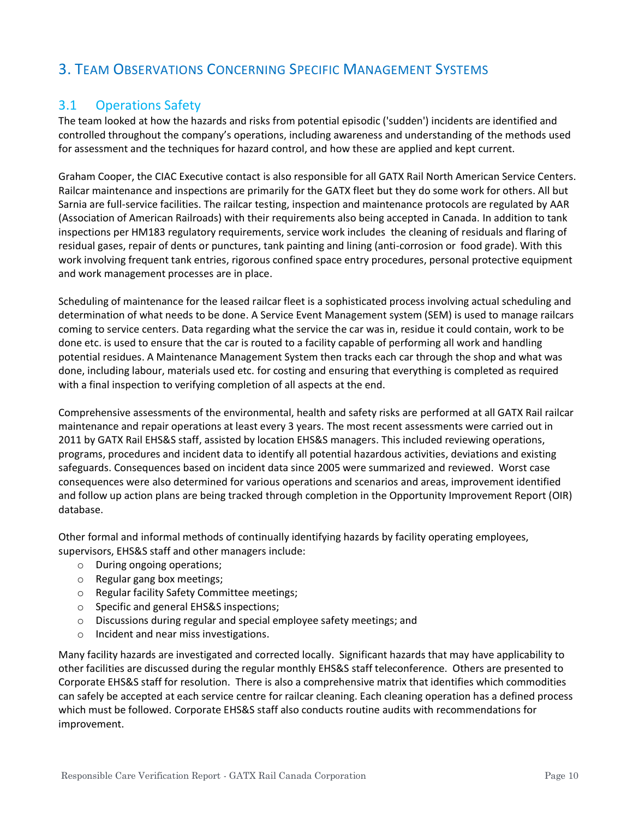# 3. TEAM OBSERVATIONS CONCERNING SPECIFIC MANAGEMENT SYSTEMS

## 3.1 Operations Safety

The team looked at how the hazards and risks from potential episodic ('sudden') incidents are identified and controlled throughout the company's operations, including awareness and understanding of the methods used for assessment and the techniques for hazard control, and how these are applied and kept current.

Graham Cooper, the CIAC Executive contact is also responsible for all GATX Rail North American Service Centers. Railcar maintenance and inspections are primarily for the GATX fleet but they do some work for others. All but Sarnia are full-service facilities. The railcar testing, inspection and maintenance protocols are regulated by AAR (Association of American Railroads) with their requirements also being accepted in Canada. In addition to tank inspections per HM183 regulatory requirements, service work includes the cleaning of residuals and flaring of residual gases, repair of dents or punctures, tank painting and lining (anti-corrosion or food grade). With this work involving frequent tank entries, rigorous confined space entry procedures, personal protective equipment and work management processes are in place.

Scheduling of maintenance for the leased railcar fleet is a sophisticated process involving actual scheduling and determination of what needs to be done. A Service Event Management system (SEM) is used to manage railcars coming to service centers. Data regarding what the service the car was in, residue it could contain, work to be done etc. is used to ensure that the car is routed to a facility capable of performing all work and handling potential residues. A Maintenance Management System then tracks each car through the shop and what was done, including labour, materials used etc. for costing and ensuring that everything is completed as required with a final inspection to verifying completion of all aspects at the end.

Comprehensive assessments of the environmental, health and safety risks are performed at all GATX Rail railcar maintenance and repair operations at least every 3 years. The most recent assessments were carried out in 2011 by GATX Rail EHS&S staff, assisted by location EHS&S managers. This included reviewing operations, programs, procedures and incident data to identify all potential hazardous activities, deviations and existing safeguards. Consequences based on incident data since 2005 were summarized and reviewed. Worst case consequences were also determined for various operations and scenarios and areas, improvement identified and follow up action plans are being tracked through completion in the Opportunity Improvement Report (OIR) database.

Other formal and informal methods of continually identifying hazards by facility operating employees, supervisors, EHS&S staff and other managers include:

- o During ongoing operations;
- o Regular gang box meetings;
- o Regular facility Safety Committee meetings;
- o Specific and general EHS&S inspections;
- o Discussions during regular and special employee safety meetings; and
- o Incident and near miss investigations.

Many facility hazards are investigated and corrected locally. Significant hazards that may have applicability to other facilities are discussed during the regular monthly EHS&S staff teleconference. Others are presented to Corporate EHS&S staff for resolution. There is also a comprehensive matrix that identifies which commodities can safely be accepted at each service centre for railcar cleaning. Each cleaning operation has a defined process which must be followed. Corporate EHS&S staff also conducts routine audits with recommendations for improvement.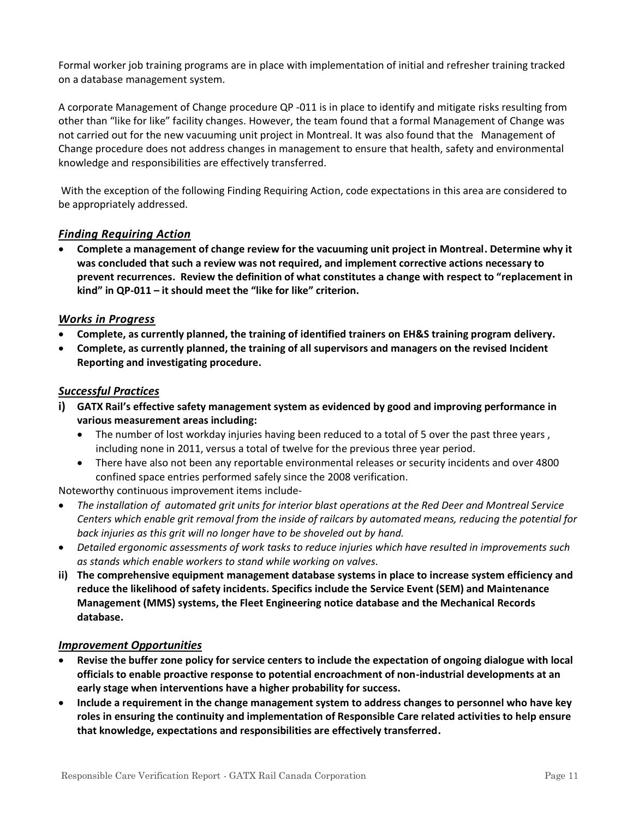Formal worker job training programs are in place with implementation of initial and refresher training tracked on a database management system.

A corporate Management of Change procedure QP -011 is in place to identify and mitigate risks resulting from other than "like for like" facility changes. However, the team found that a formal Management of Change was not carried out for the new vacuuming unit project in Montreal. It was also found that the Management of Change procedure does not address changes in management to ensure that health, safety and environmental knowledge and responsibilities are effectively transferred.

With the exception of the following Finding Requiring Action, code expectations in this area are considered to be appropriately addressed.

#### *Finding Requiring Action*

• **Complete a management of change review for the vacuuming unit project in Montreal. Determine why it was concluded that such a review was not required, and implement corrective actions necessary to prevent recurrences. Review the definition of what constitutes a change with respect to "replacement in kind" in QP-011 – it should meet the "like for like" criterion.**

#### *Works in Progress*

- **Complete, as currently planned, the training of identified trainers on EH&S training program delivery.**
- **Complete, as currently planned, the training of all supervisors and managers on the revised Incident Reporting and investigating procedure.**

#### *Successful Practices*

- **i) GATX Rail's effective safety management system as evidenced by good and improving performance in various measurement areas including:** 
	- The number of lost workday injuries having been reduced to a total of 5 over the past three years, including none in 2011, versus a total of twelve for the previous three year period.
	- There have also not been any reportable environmental releases or security incidents and over 4800 confined space entries performed safely since the 2008 verification.

Noteworthy continuous improvement items include-

- *The installation of automated grit units for interior blast operations at the Red Deer and Montreal Service Centers which enable grit removal from the inside of railcars by automated means, reducing the potential for back injuries as this grit will no longer have to be shoveled out by hand.*
- *Detailed ergonomic assessments of work tasks to reduce injuries which have resulted in improvements such as stands which enable workers to stand while working on valves.*
- **ii) The comprehensive equipment management database systems in place to increase system efficiency and reduce the likelihood of safety incidents. Specifics include the Service Event (SEM) and Maintenance Management (MMS) systems, the Fleet Engineering notice database and the Mechanical Records database.**

#### *Improvement Opportunities*

- **Revise the buffer zone policy for service centers to include the expectation of ongoing dialogue with local officials to enable proactive response to potential encroachment of non-industrial developments at an early stage when interventions have a higher probability for success.**
- **Include a requirement in the change management system to address changes to personnel who have key roles in ensuring the continuity and implementation of Responsible Care related activities to help ensure that knowledge, expectations and responsibilities are effectively transferred.**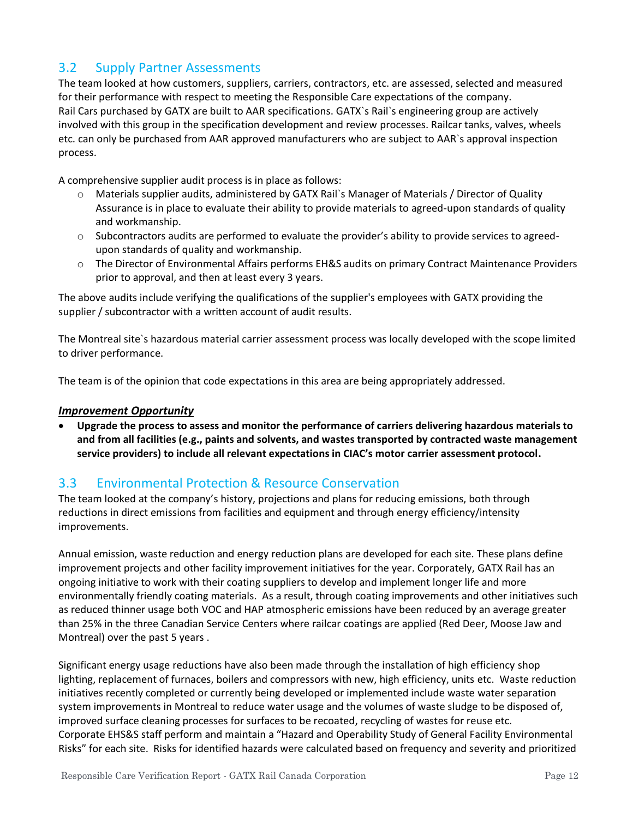# 3.2 Supply Partner Assessments

The team looked at how customers, suppliers, carriers, contractors, etc. are assessed, selected and measured for their performance with respect to meeting the Responsible Care expectations of the company. Rail Cars purchased by GATX are built to AAR specifications. GATX`s Rail`s engineering group are actively involved with this group in the specification development and review processes. Railcar tanks, valves, wheels etc. can only be purchased from AAR approved manufacturers who are subject to AAR`s approval inspection process.

A comprehensive supplier audit process is in place as follows:

- o Materials supplier audits, administered by GATX Rail`s Manager of Materials / Director of Quality Assurance is in place to evaluate their ability to provide materials to agreed-upon standards of quality and workmanship.
- o Subcontractors audits are performed to evaluate the provider's ability to provide services to agreedupon standards of quality and workmanship.
- o The Director of Environmental Affairs performs EH&S audits on primary Contract Maintenance Providers prior to approval, and then at least every 3 years.

The above audits include verifying the qualifications of the supplier's employees with GATX providing the supplier / subcontractor with a written account of audit results.

The Montreal site`s hazardous material carrier assessment process was locally developed with the scope limited to driver performance.

The team is of the opinion that code expectations in this area are being appropriately addressed.

#### *Improvement Opportunity*

• **Upgrade the process to assess and monitor the performance of carriers delivering hazardous materials to and from all facilities (e.g., paints and solvents, and wastes transported by contracted waste management service providers) to include all relevant expectations in CIAC's motor carrier assessment protocol.**

## 3.3 Environmental Protection & Resource Conservation

The team looked at the company's history, projections and plans for reducing emissions, both through reductions in direct emissions from facilities and equipment and through energy efficiency/intensity improvements.

Annual emission, waste reduction and energy reduction plans are developed for each site. These plans define improvement projects and other facility improvement initiatives for the year. Corporately, GATX Rail has an ongoing initiative to work with their coating suppliers to develop and implement longer life and more environmentally friendly coating materials. As a result, through coating improvements and other initiatives such as reduced thinner usage both VOC and HAP atmospheric emissions have been reduced by an average greater than 25% in the three Canadian Service Centers where railcar coatings are applied (Red Deer, Moose Jaw and Montreal) over the past 5 years .

Significant energy usage reductions have also been made through the installation of high efficiency shop lighting, replacement of furnaces, boilers and compressors with new, high efficiency, units etc. Waste reduction initiatives recently completed or currently being developed or implemented include waste water separation system improvements in Montreal to reduce water usage and the volumes of waste sludge to be disposed of, improved surface cleaning processes for surfaces to be recoated, recycling of wastes for reuse etc. Corporate EHS&S staff perform and maintain a "Hazard and Operability Study of General Facility Environmental Risks" for each site. Risks for identified hazards were calculated based on frequency and severity and prioritized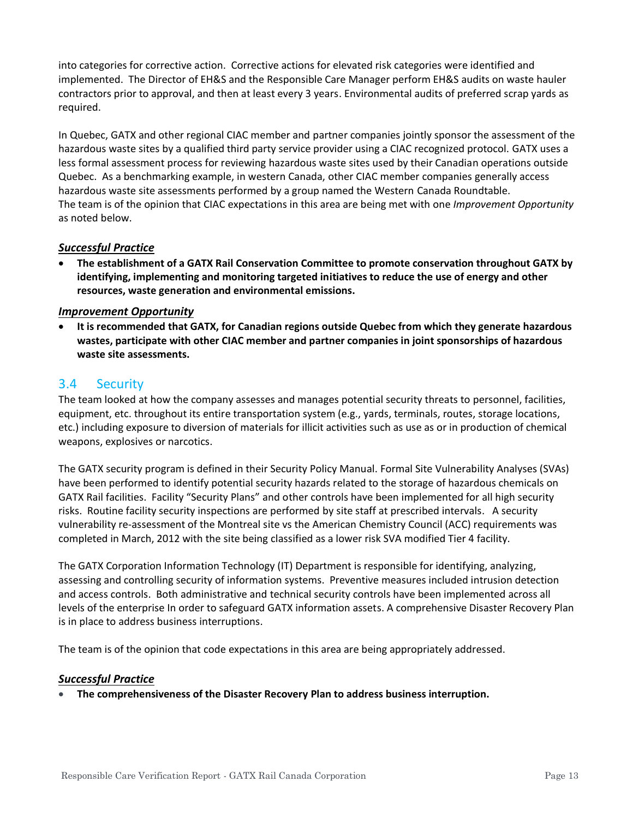into categories for corrective action. Corrective actions for elevated risk categories were identified and implemented. The Director of EH&S and the Responsible Care Manager perform EH&S audits on waste hauler contractors prior to approval, and then at least every 3 years. Environmental audits of preferred scrap yards as required.

In Quebec, GATX and other regional CIAC member and partner companies jointly sponsor the assessment of the hazardous waste sites by a qualified third party service provider using a CIAC recognized protocol. GATX uses a less formal assessment process for reviewing hazardous waste sites used by their Canadian operations outside Quebec. As a benchmarking example, in western Canada, other CIAC member companies generally access hazardous waste site assessments performed by a group named the Western Canada Roundtable. The team is of the opinion that CIAC expectations in this area are being met with one *Improvement Opportunity* as noted below.

#### *Successful Practice*

• **The establishment of a GATX Rail Conservation Committee to promote conservation throughout GATX by identifying, implementing and monitoring targeted initiatives to reduce the use of energy and other resources, waste generation and environmental emissions.**

#### *Improvement Opportunity*

• **It is recommended that GATX, for Canadian regions outside Quebec from which they generate hazardous wastes, participate with other CIAC member and partner companies in joint sponsorships of hazardous waste site assessments.**

#### 3.4 Security

The team looked at how the company assesses and manages potential security threats to personnel, facilities, equipment, etc. throughout its entire transportation system (e.g., yards, terminals, routes, storage locations, etc.) including exposure to diversion of materials for illicit activities such as use as or in production of chemical weapons, explosives or narcotics.

The GATX security program is defined in their Security Policy Manual. Formal Site Vulnerability Analyses (SVAs) have been performed to identify potential security hazards related to the storage of hazardous chemicals on GATX Rail facilities. Facility "Security Plans" and other controls have been implemented for all high security risks. Routine facility security inspections are performed by site staff at prescribed intervals. A security vulnerability re-assessment of the Montreal site vs the American Chemistry Council (ACC) requirements was completed in March, 2012 with the site being classified as a lower risk SVA modified Tier 4 facility.

The GATX Corporation Information Technology (IT) Department is responsible for identifying, analyzing, assessing and controlling security of information systems. Preventive measures included intrusion detection and access controls. Both administrative and technical security controls have been implemented across all levels of the enterprise In order to safeguard GATX information assets. A comprehensive Disaster Recovery Plan is in place to address business interruptions.

The team is of the opinion that code expectations in this area are being appropriately addressed.

#### *Successful Practice*

• **The comprehensiveness of the Disaster Recovery Plan to address business interruption.**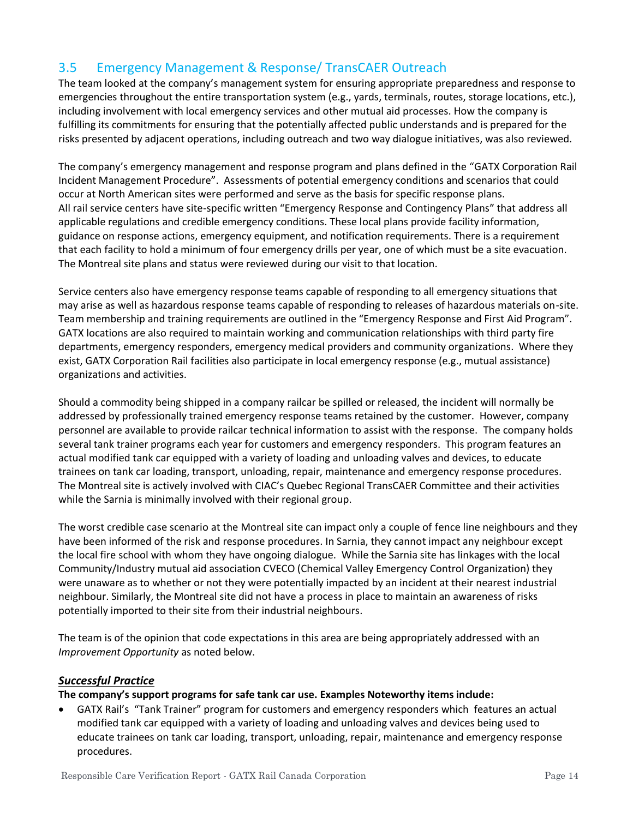# 3.5 Emergency Management & Response/ TransCAER Outreach

The team looked at the company's management system for ensuring appropriate preparedness and response to emergencies throughout the entire transportation system (e.g., yards, terminals, routes, storage locations, etc.), including involvement with local emergency services and other mutual aid processes. How the company is fulfilling its commitments for ensuring that the potentially affected public understands and is prepared for the risks presented by adjacent operations, including outreach and two way dialogue initiatives, was also reviewed.

The company's emergency management and response program and plans defined in the "GATX Corporation Rail Incident Management Procedure". Assessments of potential emergency conditions and scenarios that could occur at North American sites were performed and serve as the basis for specific response plans. All rail service centers have site-specific written "Emergency Response and Contingency Plans" that address all applicable regulations and credible emergency conditions. These local plans provide facility information, guidance on response actions, emergency equipment, and notification requirements. There is a requirement that each facility to hold a minimum of four emergency drills per year, one of which must be a site evacuation. The Montreal site plans and status were reviewed during our visit to that location.

Service centers also have emergency response teams capable of responding to all emergency situations that may arise as well as hazardous response teams capable of responding to releases of hazardous materials on-site. Team membership and training requirements are outlined in the "Emergency Response and First Aid Program". GATX locations are also required to maintain working and communication relationships with third party fire departments, emergency responders, emergency medical providers and community organizations. Where they exist, GATX Corporation Rail facilities also participate in local emergency response (e.g., mutual assistance) organizations and activities.

Should a commodity being shipped in a company railcar be spilled or released, the incident will normally be addressed by professionally trained emergency response teams retained by the customer. However, company personnel are available to provide railcar technical information to assist with the response. The company holds several tank trainer programs each year for customers and emergency responders. This program features an actual modified tank car equipped with a variety of loading and unloading valves and devices, to educate trainees on tank car loading, transport, unloading, repair, maintenance and emergency response procedures. The Montreal site is actively involved with CIAC's Quebec Regional TransCAER Committee and their activities while the Sarnia is minimally involved with their regional group.

The worst credible case scenario at the Montreal site can impact only a couple of fence line neighbours and they have been informed of the risk and response procedures. In Sarnia, they cannot impact any neighbour except the local fire school with whom they have ongoing dialogue. While the Sarnia site has linkages with the local Community/Industry mutual aid association CVECO (Chemical Valley Emergency Control Organization) they were unaware as to whether or not they were potentially impacted by an incident at their nearest industrial neighbour. Similarly, the Montreal site did not have a process in place to maintain an awareness of risks potentially imported to their site from their industrial neighbours.

The team is of the opinion that code expectations in this area are being appropriately addressed with an *Improvement Opportunity* as noted below.

#### *Successful Practice*

#### **The company's support programs for safe tank car use. Examples Noteworthy items include:**

• GATX Rail's "Tank Trainer" program for customers and emergency responders which features an actual modified tank car equipped with a variety of loading and unloading valves and devices being used to educate trainees on tank car loading, transport, unloading, repair, maintenance and emergency response procedures.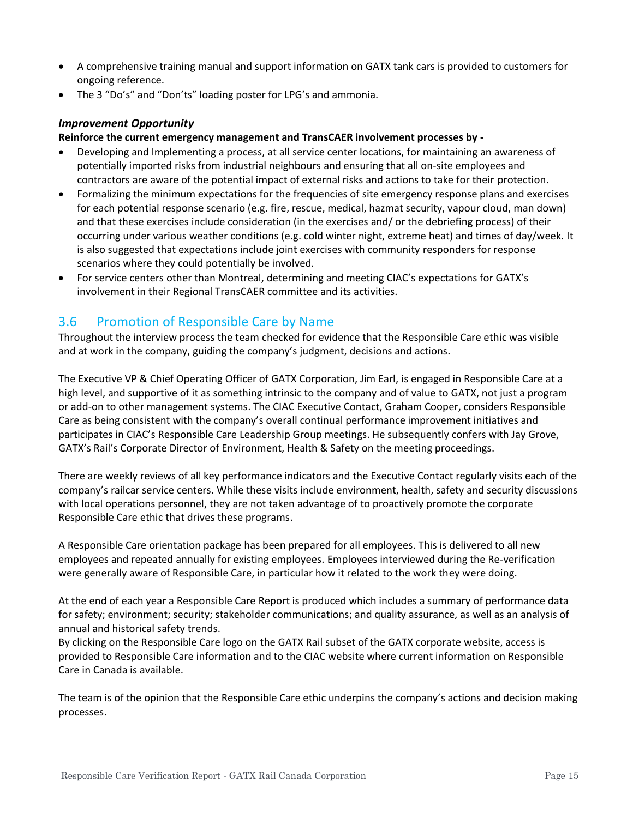- A comprehensive training manual and support information on GATX tank cars is provided to customers for ongoing reference.
- The 3 "Do's" and "Don'ts" loading poster for LPG's and ammonia.

#### *Improvement Opportunity*

#### **Reinforce the current emergency management and TransCAER involvement processes by -**

- Developing and Implementing a process, at all service center locations, for maintaining an awareness of potentially imported risks from industrial neighbours and ensuring that all on-site employees and contractors are aware of the potential impact of external risks and actions to take for their protection.
- Formalizing the minimum expectations for the frequencies of site emergency response plans and exercises for each potential response scenario (e.g. fire, rescue, medical, hazmat security, vapour cloud, man down) and that these exercises include consideration (in the exercises and/ or the debriefing process) of their occurring under various weather conditions (e.g. cold winter night, extreme heat) and times of day/week. It is also suggested that expectations include joint exercises with community responders for response scenarios where they could potentially be involved.
- For service centers other than Montreal, determining and meeting CIAC's expectations for GATX's involvement in their Regional TransCAER committee and its activities.

## 3.6 Promotion of Responsible Care by Name

Throughout the interview process the team checked for evidence that the Responsible Care ethic was visible and at work in the company, guiding the company's judgment, decisions and actions.

The Executive VP & Chief Operating Officer of GATX Corporation, Jim Earl, is engaged in Responsible Care at a high level, and supportive of it as something intrinsic to the company and of value to GATX, not just a program or add-on to other management systems. The CIAC Executive Contact, Graham Cooper, considers Responsible Care as being consistent with the company's overall continual performance improvement initiatives and participates in CIAC's Responsible Care Leadership Group meetings. He subsequently confers with Jay Grove, GATX's Rail's Corporate Director of Environment, Health & Safety on the meeting proceedings.

There are weekly reviews of all key performance indicators and the Executive Contact regularly visits each of the company's railcar service centers. While these visits include environment, health, safety and security discussions with local operations personnel, they are not taken advantage of to proactively promote the corporate Responsible Care ethic that drives these programs.

A Responsible Care orientation package has been prepared for all employees. This is delivered to all new employees and repeated annually for existing employees. Employees interviewed during the Re-verification were generally aware of Responsible Care, in particular how it related to the work they were doing.

At the end of each year a Responsible Care Report is produced which includes a summary of performance data for safety; environment; security; stakeholder communications; and quality assurance, as well as an analysis of annual and historical safety trends.

By clicking on the Responsible Care logo on the GATX Rail subset of the GATX corporate website, access is provided to Responsible Care information and to the CIAC website where current information on Responsible Care in Canada is available.

The team is of the opinion that the Responsible Care ethic underpins the company's actions and decision making processes.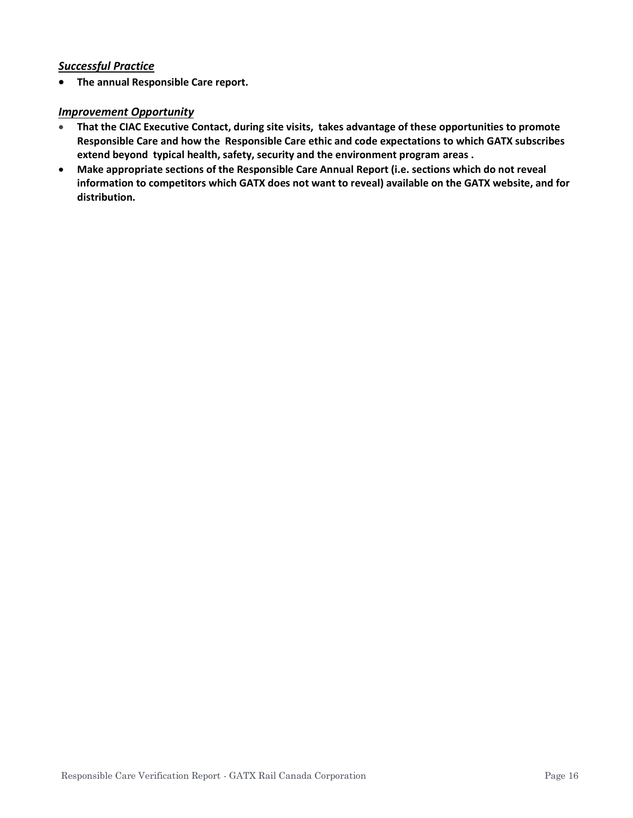#### *Successful Practice*

• **The annual Responsible Care report.**

#### *Improvement Opportunity*

- **That the CIAC Executive Contact, during site visits, takes advantage of these opportunities to promote Responsible Care and how the Responsible Care ethic and code expectations to which GATX subscribes extend beyond typical health, safety, security and the environment program areas .**
- **Make appropriate sections of the Responsible Care Annual Report (i.e. sections which do not reveal information to competitors which GATX does not want to reveal) available on the GATX website, and for distribution.**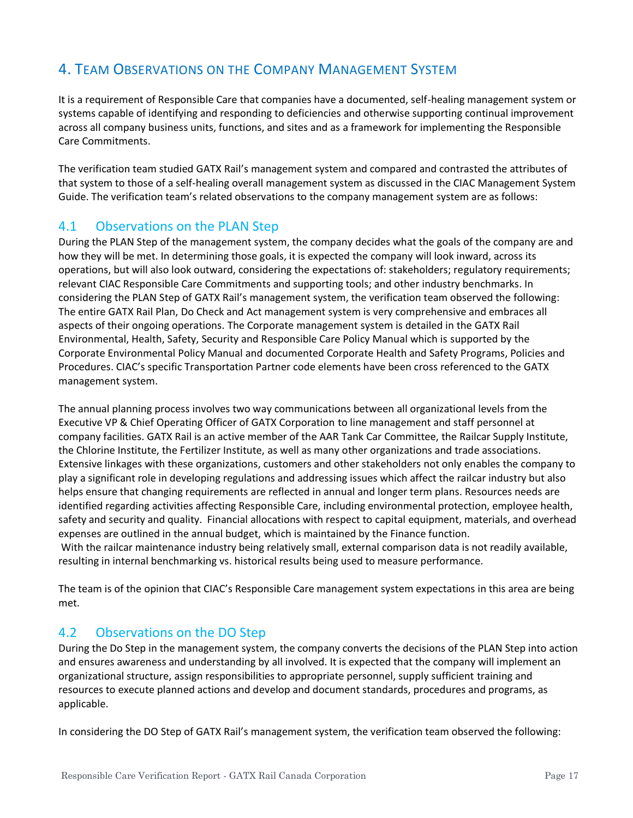# 4. TEAM OBSERVATIONS ON THE COMPANY MANAGEMENT SYSTEM

It is a requirement of Responsible Care that companies have a documented, self-healing management system or systems capable of identifying and responding to deficiencies and otherwise supporting continual improvement across all company business units, functions, and sites and as a framework for implementing the Responsible Care Commitments.

The verification team studied GATX Rail's management system and compared and contrasted the attributes of that system to those of a self-healing overall management system as discussed in the CIAC Management System Guide. The verification team's related observations to the company management system are as follows:

### 4.1 Observations on the PLAN Step

During the PLAN Step of the management system, the company decides what the goals of the company are and how they will be met. In determining those goals, it is expected the company will look inward, across its operations, but will also look outward, considering the expectations of: stakeholders; regulatory requirements; relevant CIAC Responsible Care Commitments and supporting tools; and other industry benchmarks. In considering the PLAN Step of GATX Rail's management system, the verification team observed the following: The entire GATX Rail Plan, Do Check and Act management system is very comprehensive and embraces all aspects of their ongoing operations. The Corporate management system is detailed in the GATX Rail Environmental, Health, Safety, Security and Responsible Care Policy Manual which is supported by the Corporate Environmental Policy Manual and documented Corporate Health and Safety Programs, Policies and Procedures. CIAC's specific Transportation Partner code elements have been cross referenced to the GATX management system.

The annual planning process involves two way communications between all organizational levels from the Executive VP & Chief Operating Officer of GATX Corporation to line management and staff personnel at company facilities. GATX Rail is an active member of the AAR Tank Car Committee, the Railcar Supply Institute, the Chlorine Institute, the Fertilizer Institute, as well as many other organizations and trade associations. Extensive linkages with these organizations, customers and other stakeholders not only enables the company to play a significant role in developing regulations and addressing issues which affect the railcar industry but also helps ensure that changing requirements are reflected in annual and longer term plans. Resources needs are identified regarding activities affecting Responsible Care, including environmental protection, employee health, safety and security and quality. Financial allocations with respect to capital equipment, materials, and overhead expenses are outlined in the annual budget, which is maintained by the Finance function. With the railcar maintenance industry being relatively small, external comparison data is not readily available, resulting in internal benchmarking vs. historical results being used to measure performance.

The team is of the opinion that CIAC's Responsible Care management system expectations in this area are being met.

## 4.2 Observations on the DO Step

During the Do Step in the management system, the company converts the decisions of the PLAN Step into action and ensures awareness and understanding by all involved. It is expected that the company will implement an organizational structure, assign responsibilities to appropriate personnel, supply sufficient training and resources to execute planned actions and develop and document standards, procedures and programs, as applicable.

In considering the DO Step of GATX Rail's management system, the verification team observed the following: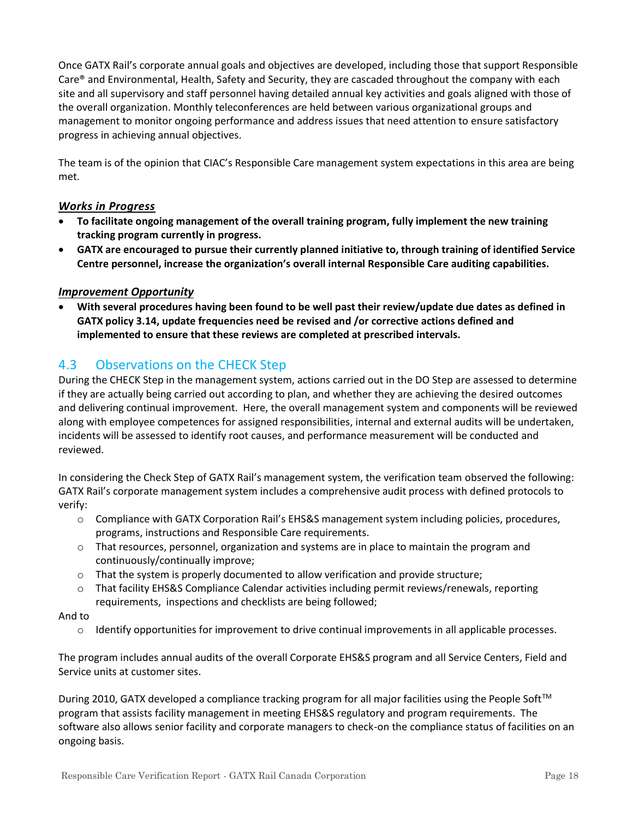Once GATX Rail's corporate annual goals and objectives are developed, including those that support Responsible Care® and Environmental, Health, Safety and Security, they are cascaded throughout the company with each site and all supervisory and staff personnel having detailed annual key activities and goals aligned with those of the overall organization. Monthly teleconferences are held between various organizational groups and management to monitor ongoing performance and address issues that need attention to ensure satisfactory progress in achieving annual objectives.

The team is of the opinion that CIAC's Responsible Care management system expectations in this area are being met.

#### *Works in Progress*

- **To facilitate ongoing management of the overall training program, fully implement the new training tracking program currently in progress.**
- **GATX are encouraged to pursue their currently planned initiative to, through training of identified Service Centre personnel, increase the organization's overall internal Responsible Care auditing capabilities.**

#### *Improvement Opportunity*

• **With several procedures having been found to be well past their review/update due dates as defined in GATX policy 3.14, update frequencies need be revised and /or corrective actions defined and implemented to ensure that these reviews are completed at prescribed intervals.**

## 4.3 Observations on the CHECK Step

During the CHECK Step in the management system, actions carried out in the DO Step are assessed to determine if they are actually being carried out according to plan, and whether they are achieving the desired outcomes and delivering continual improvement. Here, the overall management system and components will be reviewed along with employee competences for assigned responsibilities, internal and external audits will be undertaken, incidents will be assessed to identify root causes, and performance measurement will be conducted and reviewed.

In considering the Check Step of GATX Rail's management system, the verification team observed the following: GATX Rail's corporate management system includes a comprehensive audit process with defined protocols to verify:

- o Compliance with GATX Corporation Rail's EHS&S management system including policies, procedures, programs, instructions and Responsible Care requirements.
- o That resources, personnel, organization and systems are in place to maintain the program and continuously/continually improve;
- o That the system is properly documented to allow verification and provide structure;
- $\circ$  That facility EHS&S Compliance Calendar activities including permit reviews/renewals, reporting requirements, inspections and checklists are being followed;

#### And to

o Identify opportunities for improvement to drive continual improvements in all applicable processes.

The program includes annual audits of the overall Corporate EHS&S program and all Service Centers, Field and Service units at customer sites.

During 2010, GATX developed a compliance tracking program for all major facilities using the People Soft™ program that assists facility management in meeting EHS&S regulatory and program requirements. The software also allows senior facility and corporate managers to check-on the compliance status of facilities on an ongoing basis.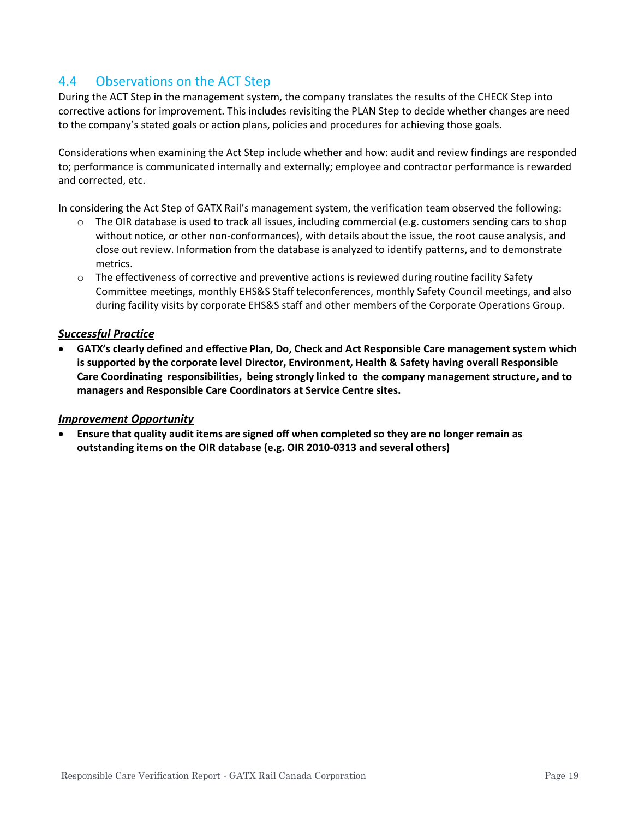# 4.4 Observations on the ACT Step

During the ACT Step in the management system, the company translates the results of the CHECK Step into corrective actions for improvement. This includes revisiting the PLAN Step to decide whether changes are need to the company's stated goals or action plans, policies and procedures for achieving those goals.

Considerations when examining the Act Step include whether and how: audit and review findings are responded to; performance is communicated internally and externally; employee and contractor performance is rewarded and corrected, etc.

In considering the Act Step of GATX Rail's management system, the verification team observed the following:

- o The OIR database is used to track all issues, including commercial (e.g. customers sending cars to shop without notice, or other non-conformances), with details about the issue, the root cause analysis, and close out review. Information from the database is analyzed to identify patterns, and to demonstrate metrics.
- o The effectiveness of corrective and preventive actions is reviewed during routine facility Safety Committee meetings, monthly EHS&S Staff teleconferences, monthly Safety Council meetings, and also during facility visits by corporate EHS&S staff and other members of the Corporate Operations Group.

#### *Successful Practice*

• **GATX's clearly defined and effective Plan, Do, Check and Act Responsible Care management system which is supported by the corporate level Director, Environment, Health & Safety having overall Responsible Care Coordinating responsibilities, being strongly linked to the company management structure, and to managers and Responsible Care Coordinators at Service Centre sites.**

#### *Improvement Opportunity*

• **Ensure that quality audit items are signed off when completed so they are no longer remain as outstanding items on the OIR database (e.g. OIR 2010-0313 and several others)**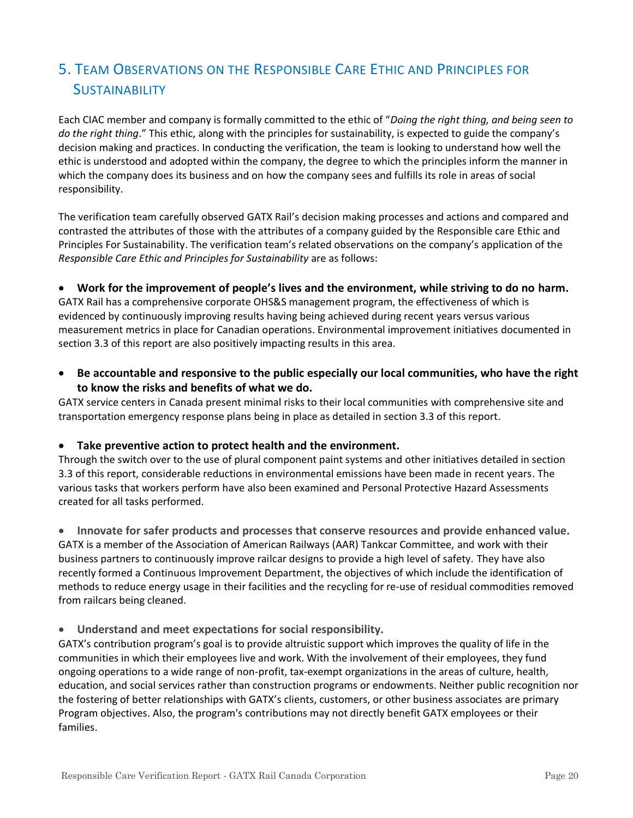# 5. TEAM OBSERVATIONS ON THE RESPONSIBLE CARE ETHIC AND PRINCIPLES FOR **SUSTAINABILITY**

Each CIAC member and company is formally committed to the ethic of "*Doing the right thing, and being seen to do the right thing*." This ethic, along with the principles for sustainability, is expected to guide the company's decision making and practices. In conducting the verification, the team is looking to understand how well the ethic is understood and adopted within the company, the degree to which the principles inform the manner in which the company does its business and on how the company sees and fulfills its role in areas of social responsibility.

The verification team carefully observed GATX Rail's decision making processes and actions and compared and contrasted the attributes of those with the attributes of a company guided by the Responsible care Ethic and Principles For Sustainability. The verification team's related observations on the company's application of the *Responsible Care Ethic and Principles for Sustainability* are as follows:

#### • **Work for the improvement of people's lives and the environment, while striving to do no harm.**

GATX Rail has a comprehensive corporate OHS&S management program, the effectiveness of which is evidenced by continuously improving results having being achieved during recent years versus various measurement metrics in place for Canadian operations. Environmental improvement initiatives documented in section 3.3 of this report are also positively impacting results in this area.

• **Be accountable and responsive to the public especially our local communities, who have the right to know the risks and benefits of what we do.**

GATX service centers in Canada present minimal risks to their local communities with comprehensive site and transportation emergency response plans being in place as detailed in section 3.3 of this report.

#### • **Take preventive action to protect health and the environment.**

Through the switch over to the use of plural component paint systems and other initiatives detailed in section 3.3 of this report, considerable reductions in environmental emissions have been made in recent years. The various tasks that workers perform have also been examined and Personal Protective Hazard Assessments created for all tasks performed.

• **Innovate for safer products and processes that conserve resources and provide enhanced value.** GATX is a member of the Association of American Railways (AAR) Tankcar Committee, and work with their business partners to continuously improve railcar designs to provide a high level of safety. They have also recently formed a Continuous Improvement Department, the objectives of which include the identification of methods to reduce energy usage in their facilities and the recycling for re-use of residual commodities removed from railcars being cleaned.

#### • **Understand and meet expectations for social responsibility.**

GATX's contribution program's goal is to provide altruistic support which improves the quality of life in the communities in which their employees live and work. With the involvement of their employees, they fund ongoing operations to a wide range of non-profit, tax-exempt organizations in the areas of culture, health, education, and social services rather than construction programs or endowments. Neither public recognition nor the fostering of better relationships with GATX's clients, customers, or other business associates are primary Program objectives. Also, the program's contributions may not directly benefit GATX employees or their families.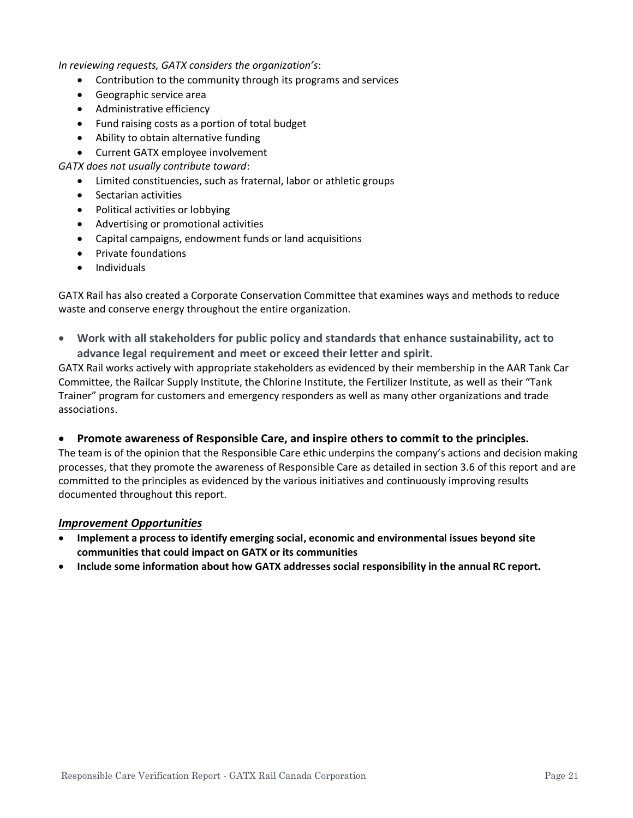*In reviewing requests, GATX considers the organization's*:

- Contribution to the community through its programs and services
- Geographic service area
- Administrative efficiency
- Fund raising costs as a portion of total budget
- Ability to obtain alternative funding
- Current GATX employee involvement
- *GATX does not usually contribute toward*:
	- Limited constituencies, such as fraternal, labor or athletic groups
	- Sectarian activities
	- Political activities or lobbying
	- Advertising or promotional activities
	- Capital campaigns, endowment funds or land acquisitions
	- Private foundations
	- Individuals

GATX Rail has also created a Corporate Conservation Committee that examines ways and methods to reduce waste and conserve energy throughout the entire organization.

• **Work with all stakeholders for public policy and standards that enhance sustainability, act to advance legal requirement and meet or exceed their letter and spirit.**

GATX Rail works actively with appropriate stakeholders as evidenced by their membership in the AAR Tank Car Committee, the Railcar Supply Institute, the Chlorine Institute, the Fertilizer Institute, as well as their "Tank Trainer" program for customers and emergency responders as well as many other organizations and trade associations.

#### • **Promote awareness of Responsible Care, and inspire others to commit to the principles.**

The team is of the opinion that the Responsible Care ethic underpins the company's actions and decision making processes, that they promote the awareness of Responsible Care as detailed in section 3.6 of this report and are committed to the principles as evidenced by the various initiatives and continuously improving results documented throughout this report.

#### *Improvement Opportunities*

- **Implement a process to identify emerging social, economic and environmental issues beyond site communities that could impact on GATX or its communities**
- **Include some information about how GATX addresses social responsibility in the annual RC report.**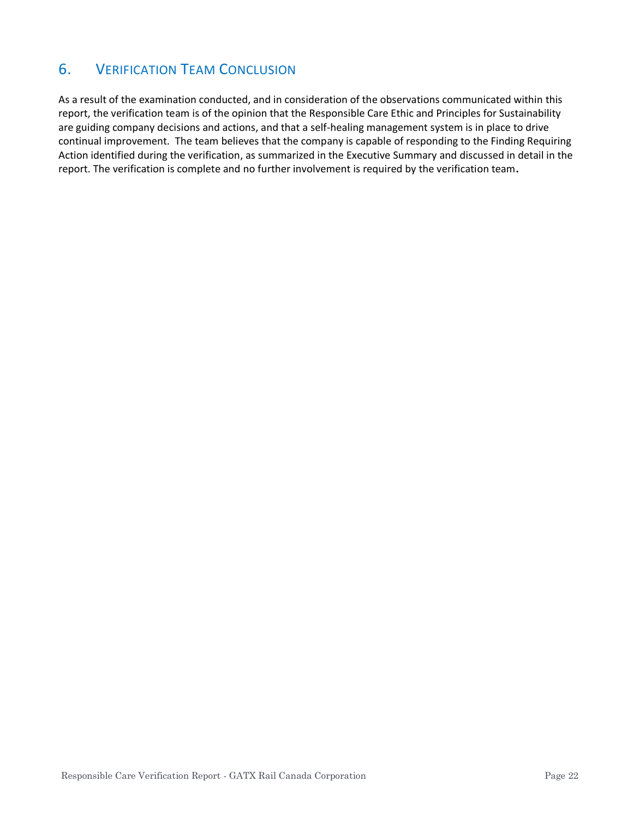# 6. VERIFICATION TEAM CONCLUSION

As a result of the examination conducted, and in consideration of the observations communicated within this report, the verification team is of the opinion that the Responsible Care Ethic and Principles for Sustainability are guiding company decisions and actions, and that a self-healing management system is in place to drive continual improvement. The team believes that the company is capable of responding to the Finding Requiring Action identified during the verification, as summarized in the Executive Summary and discussed in detail in the report. The verification is complete and no further involvement is required by the verification team**.**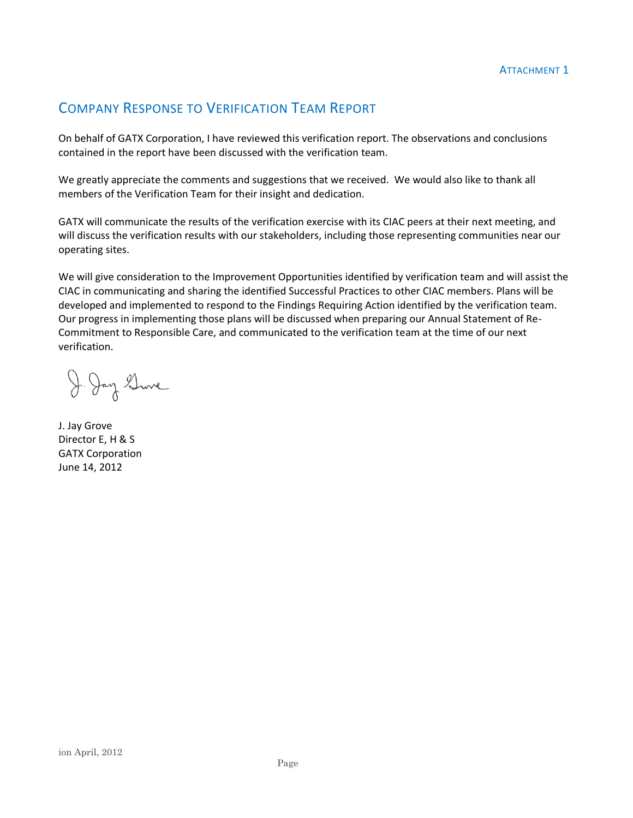# COMPANY RESPONSE TO VERIFICATION TEAM REPORT

On behalf of GATX Corporation, I have reviewed this verification report. The observations and conclusions contained in the report have been discussed with the verification team.

We greatly appreciate the comments and suggestions that we received. We would also like to thank all members of the Verification Team for their insight and dedication.

GATX will communicate the results of the verification exercise with its CIAC peers at their next meeting, and will discuss the verification results with our stakeholders, including those representing communities near our operating sites.

We will give consideration to the Improvement Opportunities identified by verification team and will assist the CIAC in communicating and sharing the identified Successful Practices to other CIAC members. Plans will be developed and implemented to respond to the Findings Requiring Action identified by the verification team. Our progress in implementing those plans will be discussed when preparing our Annual Statement of Re-Commitment to Responsible Care, and communicated to the verification team at the time of our next verification.

J. Jay Sine

J. Jay Grove Director E, H & S GATX Corporation June 14, 2012